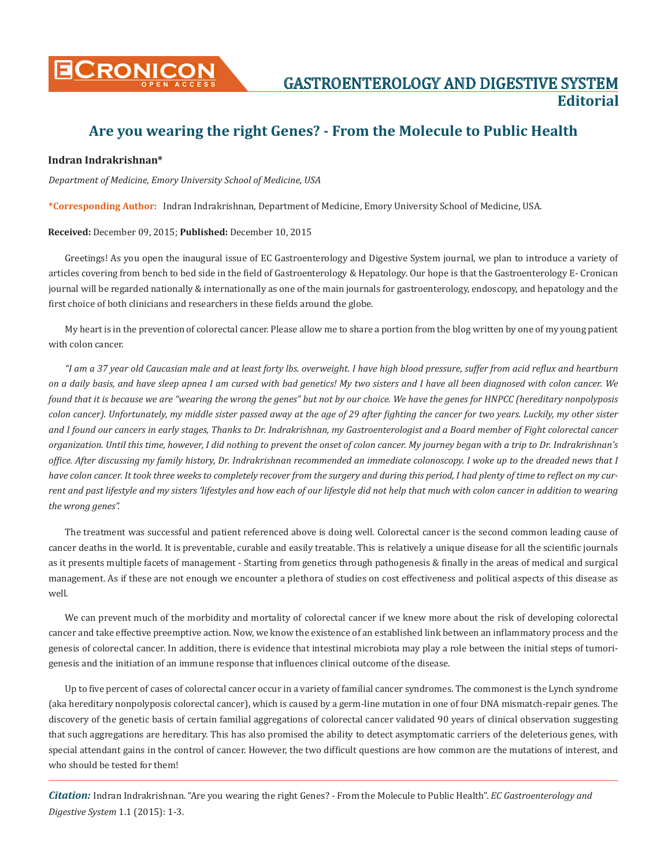

## **Are you wearing the right Genes? - From the Molecule to Public Health**

## **Indran Indrakrishnan\***

*Department of Medicine, Emory University School of Medicine, USA*

**\*Corresponding Author:** Indran Indrakrishnan, Department of Medicine, Emory University School of Medicine, USA.

## **Received:** December 09, 2015; **Published:** December 10, 2015

Greetings! As you open the inaugural issue of EC Gastroenterology and Digestive System journal, we plan to introduce a variety of articles covering from bench to bed side in the field of Gastroenterology & Hepatology. Our hope is that the Gastroenterology E- Cronican journal will be regarded nationally & internationally as one of the main journals for gastroenterology, endoscopy, and hepatology and the first choice of both clinicians and researchers in these fields around the globe.

My heart is in the prevention of colorectal cancer. Please allow me to share a portion from the blog written by one of my young patient with colon cancer.

*"I am a 37 year old Caucasian male and at least forty lbs. overweight. I have high blood pressure, suffer from acid reflux and heartburn on a daily basis, and have sleep apnea I am cursed with bad genetics! My two sisters and I have all been diagnosed with colon cancer. We found that it is because we are "wearing the wrong the genes" but not by our choice. We have the genes for HNPCC (hereditary nonpolyposis colon cancer). Unfortunately, my middle sister passed away at the age of 29 after fighting the cancer for two years. Luckily, my other sister and I found our cancers in early stages, Thanks to Dr. Indrakrishnan, my Gastroenterologist and a Board member of Fight colorectal cancer organization. Until this time, however, I did nothing to prevent the onset of colon cancer. My journey began with a trip to Dr. Indrakrishnan's office. After discussing my family history, Dr. Indrakrishnan recommended an immediate colonoscopy. I woke up to the dreaded news that I have colon cancer. It took three weeks to completely recover from the surgery and during this period, I had plenty of time to reflect on my current and past lifestyle and my sisters 'lifestyles and how each of our lifestyle did not help that much with colon cancer in addition to wearing the wrong genes".*

The treatment was successful and patient referenced above is doing well. Colorectal cancer is the second common leading cause of cancer deaths in the world. It is preventable, curable and easily treatable. This is relatively a unique disease for all the scientific journals as it presents multiple facets of management - Starting from genetics through pathogenesis & finally in the areas of medical and surgical management. As if these are not enough we encounter a plethora of studies on cost effectiveness and political aspects of this disease as well.

We can prevent much of the morbidity and mortality of colorectal cancer if we knew more about the risk of developing colorectal cancer and take effective preemptive action. Now, we know the existence of an established link between an inflammatory process and the genesis of colorectal cancer. In addition, there is evidence that intestinal microbiota may play a role between the initial steps of tumorigenesis and the initiation of an immune response that influences clinical outcome of the disease.

Up to five percent of cases of colorectal cancer occur in a variety of familial cancer syndromes. The commonest is the Lynch syndrome (aka hereditary nonpolyposis colorectal cancer), which is caused by a germ-line mutation in one of four DNA mismatch-repair genes. The discovery of the genetic basis of certain familial aggregations of colorectal cancer validated 90 years of clinical observation suggesting that such aggregations are hereditary. This has also promised the ability to detect asymptomatic carriers of the deleterious genes, with special attendant gains in the control of cancer. However, the two difficult questions are how common are the mutations of interest, and who should be tested for them!

*Citation:* Indran Indrakrishnan. "Are you wearing the right Genes? - From the Molecule to Public Health". *EC Gastroenterology and Digestive System* 1.1 (2015): 1-3.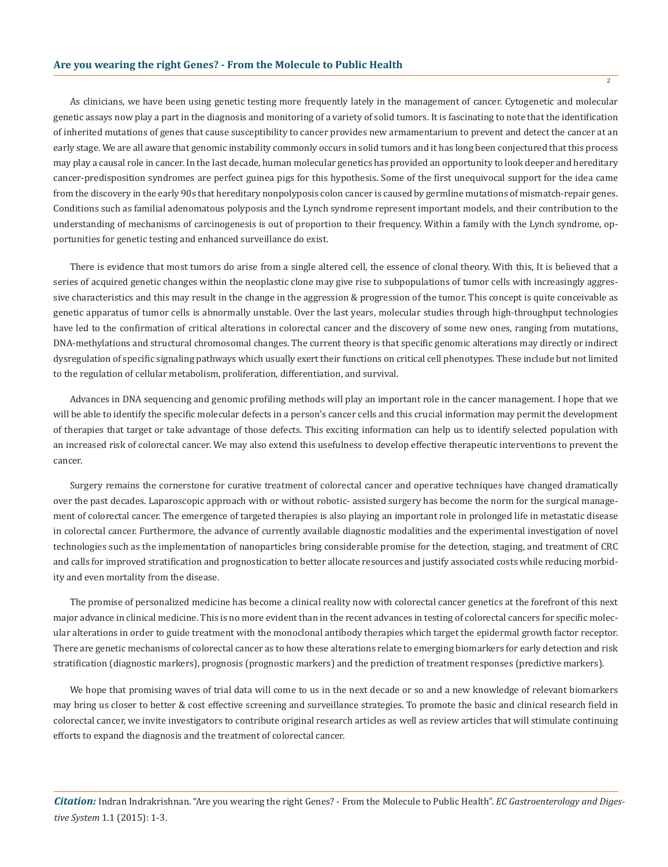As clinicians, we have been using genetic testing more frequently lately in the management of cancer. Cytogenetic and molecular genetic assays now play a part in the diagnosis and monitoring of a variety of solid tumors. It is fascinating to note that the identification of inherited mutations of genes that cause susceptibility to cancer provides new armamentarium to prevent and detect the cancer at an early stage. We are all aware that genomic instability commonly occurs in solid tumors and it has long been conjectured that this process may play a causal role in cancer. In the last decade, human molecular genetics has provided an opportunity to look deeper and hereditary cancer-predisposition syndromes are perfect guinea pigs for this hypothesis. Some of the first unequivocal support for the idea came from the discovery in the early 90s that hereditary nonpolyposis colon cancer is caused by germline mutations of mismatch-repair genes. Conditions such as familial adenomatous polyposis and the Lynch syndrome represent important models, and their contribution to the understanding of mechanisms of carcinogenesis is out of proportion to their frequency. Within a family with the Lynch syndrome, opportunities for genetic testing and enhanced surveillance do exist.

There is evidence that most tumors do arise from a single altered cell, the essence of clonal theory. With this, It is believed that a series of acquired genetic changes within the neoplastic clone may give rise to subpopulations of tumor cells with increasingly aggressive characteristics and this may result in the change in the aggression & progression of the tumor. This concept is quite conceivable as genetic apparatus of tumor cells is abnormally unstable. Over the last years, molecular studies through high-throughput technologies have led to the confirmation of critical alterations in colorectal cancer and the discovery of some new ones, ranging from mutations, DNA-methylations and structural chromosomal changes. The current theory is that specific genomic alterations may directly or indirect dysregulation of specific signaling pathways which usually exert their functions on critical cell phenotypes. These include but not limited to the regulation of cellular metabolism, proliferation, differentiation, and survival.

Advances in DNA sequencing and genomic profiling methods will play an important role in the cancer management. I hope that we will be able to identify the specific molecular defects in a person's cancer cells and this crucial information may permit the development of therapies that target or take advantage of those defects. This exciting information can help us to identify selected population with an increased risk of colorectal cancer. We may also extend this usefulness to develop effective therapeutic interventions to prevent the cancer.

Surgery remains the cornerstone for curative treatment of colorectal cancer and operative techniques have changed dramatically over the past decades. Laparoscopic approach with or without robotic- assisted surgery has become the norm for the surgical management of colorectal cancer. The emergence of targeted therapies is also playing an important role in prolonged life in metastatic disease in colorectal cancer. Furthermore, the advance of currently available diagnostic modalities and the experimental investigation of novel technologies such as the implementation of nanoparticles bring considerable promise for the detection, staging, and treatment of CRC and calls for improved stratification and prognostication to better allocate resources and justify associated costs while reducing morbidity and even mortality from the disease.

The promise of personalized medicine has become a clinical reality now with colorectal cancer genetics at the forefront of this next major advance in clinical medicine. This is no more evident than in the recent advances in testing of colorectal cancers for specific molecular alterations in order to guide treatment with the monoclonal antibody therapies which target the epidermal growth factor receptor. There are genetic mechanisms of colorectal cancer as to how these alterations relate to emerging biomarkers for early detection and risk stratification (diagnostic markers), prognosis (prognostic markers) and the prediction of treatment responses (predictive markers).

We hope that promising waves of trial data will come to us in the next decade or so and a new knowledge of relevant biomarkers may bring us closer to better & cost effective screening and surveillance strategies. To promote the basic and clinical research field in colorectal cancer, we invite investigators to contribute original research articles as well as review articles that will stimulate continuing efforts to expand the diagnosis and the treatment of colorectal cancer.

*Citation:* Indran Indrakrishnan. "Are you wearing the right Genes? - From the Molecule to Public Health". *EC Gastroenterology and Digestive System* 1.1 (2015): 1-3.

2